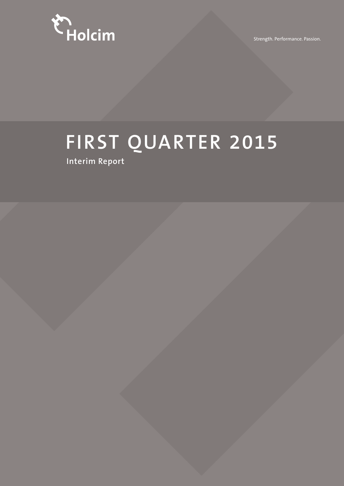

Strength. Performance. Passion.

# **FIRST QUARTER 2015**

**Interim Report**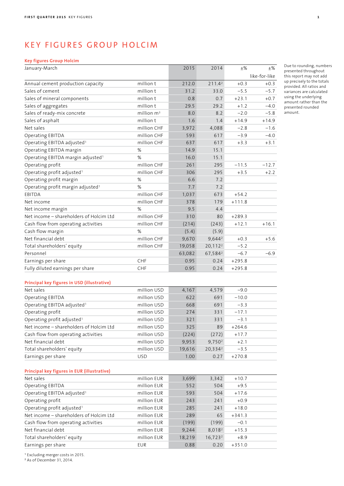# KEY FIGURES GROUP HOLCIM

# **Key figures Group Holcim**

| January-March                                 |               | 2015   | 2014                | ±%       | $\pm\%$       |
|-----------------------------------------------|---------------|--------|---------------------|----------|---------------|
|                                               |               |        |                     |          | like-for-like |
| Annual cement production capacity             | million t     | 212.0  | 211.4 <sup>2</sup>  | $+0.3$   | $+0.3$        |
| Sales of cement                               | million t     | 31.2   | 33.0                | $-5.5$   | $-5.7$        |
| Sales of mineral components                   | million t     | 0.8    | 0.7                 | $+23.1$  | $+0.7$        |
| Sales of aggregates                           | million t     | 29.5   | 29.2                | $+1.2$   | $-4.0$        |
| Sales of ready-mix concrete                   | million $m^3$ | 8.0    | 8.2                 | $-2.0$   | $-5.8$        |
| Sales of asphalt                              | million t     | 1.6    | 1.4                 | $+14.9$  | $+14.9$       |
| Net sales                                     | million CHF   | 3,972  | 4,088               | $-2.8$   | $-1.6$        |
| Operating EBITDA                              | million CHF   | 593    | 617                 | $-3.9$   | $-4.0$        |
| Operating EBITDA adjusted <sup>1</sup>        | million CHF   | 637    | 617                 | $+3.3$   | $+3.1$        |
| Operating EBITDA margin                       | %             | 14.9   | 15.1                |          |               |
| Operating EBITDA margin adjusted <sup>1</sup> | %             | 16.0   | 15.1                |          |               |
| Operating profit                              | million CHF   | 261    | 295                 | $-11.5$  | $-12.7$       |
| Operating profit adjusted <sup>1</sup>        | million CHF   | 306    | 295                 | $+3.5$   | $+2.2$        |
| Operating profit margin                       | %             | 6.6    | 7.2                 |          |               |
| Operating profit margin adjusted <sup>1</sup> | %             | 7.7    | 7.2                 |          |               |
| EBITDA                                        | million CHF   | 1,037  | 673                 | $+54.2$  |               |
| Net income                                    | million CHF   | 378    | 179                 | $+111.8$ |               |
| Net income margin                             | %             | 9.5    | 4.4                 |          |               |
| Net income - shareholders of Holcim Ltd       | million CHF   | 310    | 80                  | $+289.3$ |               |
| Cash flow from operating activities           | million CHF   | (214)  | (243)               | $+12.1$  | $+16.1$       |
| Cash flow margin                              | %             | (5.4)  | (5.9)               |          |               |
| Net financial debt                            | million CHF   | 9,670  | $9,644^2$           | $+0.3$   | $+5.6$        |
| Total shareholders' equity                    | million CHF   | 19,058 | 20,112 <sup>2</sup> | $-5.2$   |               |
| Personnel                                     |               | 63,082 | 67,584 <sup>2</sup> | $-6.7$   | $-6.9$        |
| Earnings per share                            | CHF           | 0.95   | 0.24                | $+295.8$ |               |
| Fully diluted earnings per share              | CHF           | 0.95   | 0.24                | $+295.8$ |               |
| Principal key figures in USD (illustrative)   |               |        |                     |          |               |
| Net sales                                     | million USD   | 4,167  | 4,579               | $-9.0$   |               |
| Operating EBITDA                              | million USD   | 622    | 691                 | $-10.0$  |               |

Due to rounding, numbers presented throughout this report may not add up precisely to the totals provided. All ratios and variances are calculated using the underlying amount rather than the presented rounded amount.

| Total shareholders' equity                  | million USD | 19,616 | 20,3342            | $-3.5$   |  |
|---------------------------------------------|-------------|--------|--------------------|----------|--|
| Earnings per share                          | <b>USD</b>  | 1.00   | 0.27               | $+270.8$ |  |
|                                             |             |        |                    |          |  |
| Principal key figures in EUR (illustrative) |             |        |                    |          |  |
| Net sales                                   | million EUR | 3,699  | 3,342              | $+10.7$  |  |
| Operating EBITDA                            | million EUR | 552    | 504                | $+9.5$   |  |
| Operating EBITDA adjusted <sup>1</sup>      | million EUR | 593    | 504                | $+17.6$  |  |
| Operating profit                            | million EUR | 243    | 241                | $+0.9$   |  |
| Operating profit adjusted <sup>1</sup>      | million EUR | 285    | 241                | $+18.0$  |  |
| Net income - shareholders of Holcim Ltd     | million EUR | 289    | 65                 | $+341.3$ |  |
| Cash flow from operating activities         | million EUR | (199)  | (199)              | $-0.1$   |  |
| Net financial debt                          | million EUR | 9,244  | 8.018 <sup>2</sup> | $+15.3$  |  |
| Total shareholders' equity                  | million EUR | 18,219 | $16,723^2$         | $+8.9$   |  |
| Earnings per share                          | <b>EUR</b>  | 0.88   | 0.20               | $+351.0$ |  |
|                                             |             |        |                    |          |  |

Operating EBITDA adjusted<sup>1</sup> million USD 668 691 -3.3 Operating profit million USD 274 331 -17.1 Operating profit adjusted<sup>1</sup> and million USD 321 331 -3.1 Net income – shareholders of Holcim Ltd million USD 325 89 +264.6 Cash flow from operating activities million USD (224) (272) +17.7 Net financial debt and the million USD 9,953 9,750<sup>2</sup> +2.1

<sup>1</sup> Excluding merger costs in 2015.

<sup>2</sup>As of December 31, 2014.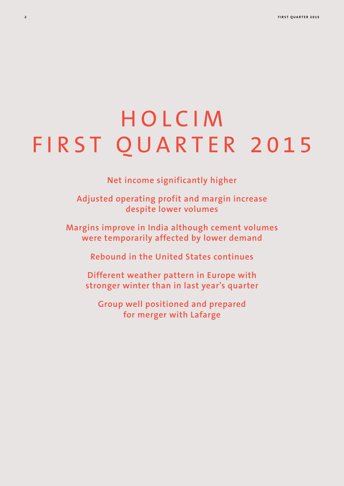# HOLCIM FIRST QUARTER 2015

**Net income significantly higher**

**Adjusted operating profit and margin increase despite lower volumes**

**Margins improve in India although cement volumes were temporarily affected by lower demand**

**Rebound in the United States continues**

**Different weather pattern in Europe with stronger winter than in last year's quarter**

**Group well positioned and prepared for merger with Lafarge**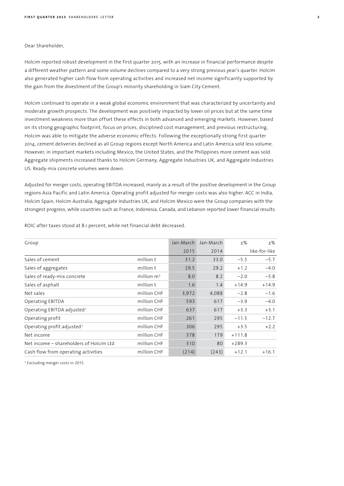## Dear Shareholder,

Holcim reported robust development in the first quarter 2015, with an increase in financial performance despite a different weather pattern and some volume declines compared to a very strong previous year's quarter. Holcim also generated higher cash flow from operating activities and increased net income significantly supported by the gain from the divestment of the Group's minority shareholding in Siam City Cement.

Holcim continued to operate in a weak global economic environment that was characterized by uncertainty and moderate growth prospects. The development was positively impacted by lower oil prices but at the same time investment weakness more than offset these effects in both advanced and emerging markets. However, based on its strong geographic footprint, focus on prices, disciplined cost management, and previous restructuring, Holcim was able to mitigate the adverse economic effects. Following the exceptionally strong first quarter 2014, cement deliveries declined as all Group regions except North America and Latin America sold less volume. However, in important markets including Mexico, the United States, and the Philippines more cement was sold. Aggregate shipments increased thanks to Holcim Germany, Aggregate Industries UK, and Aggregate Industries US. Ready-mix concrete volumes were down.

Adjusted for merger costs, operating EBITDA increased, mainly as a result of the positive development in the Group regions Asia Pacific and Latin America. Operating profit adjusted for merger costs was also higher. ACC in India, Holcim Spain, Holcim Australia, Aggregate Industries UK, and Holcim Mexico were the Group companies with the strongest progress, while countries such as France, Indonesia, Canada, and Lebanon reported lower financial results.

| Group                                   |               | Jan-March | Jan-March | $+$ %    | $+$ %         |
|-----------------------------------------|---------------|-----------|-----------|----------|---------------|
|                                         |               | 2015      | 2014      |          | like-for-like |
| Sales of cement                         | million t     | 31.2      | 33.0      | $-5.5$   | $-5.7$        |
| Sales of aggregates                     | million t     | 29.5      | 29.2      | $+1.2$   | $-4.0$        |
| Sales of ready-mix concrete             | million $m^3$ | 8.0       | 8.2       | $-2.0$   | $-5.8$        |
| Sales of asphalt                        | million t     | 1.6       | 1.4       | $+14.9$  | $+14.9$       |
| Net sales                               | million CHF   | 3,972     | 4,088     | $-2.8$   | $-1.6$        |
| Operating EBITDA                        | million CHF   | 593       | 617       | $-3.9$   | $-4.0$        |
| Operating EBITDA adjusted <sup>1</sup>  | million CHF   | 637       | 617       | $+3.3$   | $+3.1$        |
| Operating profit                        | million CHF   | 261       | 295       | $-11.5$  | $-12.7$       |
| Operating profit adjusted <sup>1</sup>  | million CHF   | 306       | 295       | $+3.5$   | $+2.2$        |
| Net income                              | million CHF   | 378       | 179       | $+111.8$ |               |
| Net income – shareholders of Holcim Ltd | million CHF   | 310       | 80        | $+289.3$ |               |
| Cash flow from operating activities     | million CHF   | (214)     | (243)     | $+12.1$  | $+16.1$       |

ROIC after taxes stood at 8.1 percent, while net financial debt decreased.

<sup>1</sup> Excluding merger costs in 2015.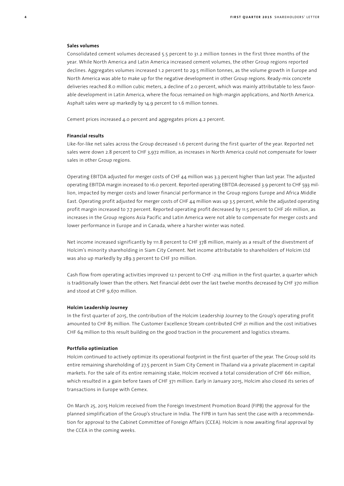## **Sales volumes**

Consolidated cement volumes decreased 5.5 percent to 31.2 million tonnes in the first three months of the year. While North America and Latin America increased cement volumes, the other Group regions reported declines. Aggregates volumes increased 1.2 percent to 29.5 million tonnes, as the volume growth in Europe and North America was able to make up for the negative development in other Group regions. Ready-mix concrete deliveries reached 8.0 million cubic meters, a decline of 2.0 percent, which was mainly attributable to less favorable development in Latin America, where the focus remained on high-margin applications, and North America. Asphalt sales were up markedly by 14.9 percent to 1.6 million tonnes.

Cement prices increased 4.0 percent and aggregates prices 4.2 percent.

## **Financial results**

Like-for-like net sales across the Group decreased 1.6 percent during the first quarter of the year. Reported net sales were down 2.8 percent to CHF 3,972 million, as increases in North America could not compensate for lower sales in other Group regions.

Operating EBITDA adjusted for merger costs of CHF 44 million was 3.3 percent higher than last year. The adjusted operating EBITDA margin increased to 16.0 percent. Reported operating EBITDA decreased 3.9 percent to CHF 593 million, impacted by merger costs and lower financial performance in the Group regions Europe and Africa Middle East. Operating profit adjusted for merger costs of CHF 44 million was up 3.5 percent, while the adjusted operating profit margin increased to 7.7 percent. Reported operating profit decreased by 11.5 percent to CHF 261 million, as increases in the Group regions Asia Pacific and Latin America were not able to compensate for merger costs and lower performance in Europe and in Canada, where a harsher winter was noted.

Net income increased significantly by 111.8 percent to CHF 378 million, mainly as a result of the divestment of Holcim's minority shareholding in Siam City Cement. Net income attributable to shareholders of Holcim Ltd was also up markedly by 289.3 percent to CHF 310 million.

Cash flow from operating activities improved 12.1 percent to CHF -214 million in the first quarter, a quarter which is traditionally lower than the others. Net financial debt over the last twelve months decreased by CHF 370 million and stood at CHF 9,670 million.

## **Holcim Leadership Journey**

In the first quarter of 2015, the contribution of the Holcim Leadership Journey to the Group's operating profit amounted to CHF 85 million. The Customer Excellence Stream contributed CHF 21 million and the cost initiatives CHF 64 million to this result building on the good traction in the procurement and logistics streams.

#### **Portfolio optimization**

Holcim continued to actively optimize its operational footprint in the first quarter of the year. The Group sold its entire remaining shareholding of 27.5 percent in Siam City Cement in Thailand via a private placement in capital markets. For the sale of its entire remaining stake, Holcim received a total consideration of CHF 661 million, which resulted in a gain before taxes of CHF 371 million. Early in January 2015, Holcim also closed its series of transactions in Europe with Cemex.

On March 25, 2015 Holcim received from the Foreign Investment Promotion Board (FIPB) the approval for the planned simplification of the Group's structure in India. The FIPB in turn has sent the case with a recommendation for approval to the Cabinet Committee of Foreign Affairs (CCEA). Holcim is now awaiting final approval by the CCEA in the coming weeks.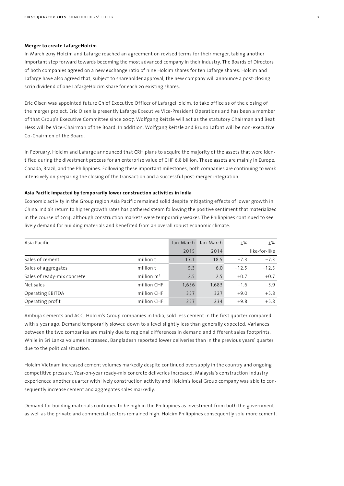## **Merger to create LafargeHolcim**

In March 2015 Holcim and Lafarge reached an agreement on revised terms for their merger, taking another important step forward towards becoming the most advanced company in their industry. The Boards of Directors of both companies agreed on a new exchange ratio of nine Holcim shares for ten Lafarge shares. Holcim and Lafarge have also agreed that, subject to shareholder approval, the new company will announce a post-closing scrip dividend of one LafargeHolcim share for each 20 existing shares.

Eric Olsen was appointed future Chief Executive Officer of LafargeHolcim, to take office as of the closing of the merger project. Eric Olsen is presently Lafarge Executive Vice-President Operations and has been a member of that Group's Executive Committee since 2007. Wolfgang Reitzle will act as the statutory Chairman and Beat Hess will be Vice-Chairman of the Board. In addition, Wolfgang Reitzle and Bruno Lafont will be non-executive Co-Chairmen of the Board.

In February, Holcim and Lafarge announced that CRH plans to acquire the majority of the assets that were identified during the divestment process for an enterprise value of CHF 6.8 billion. These assets are mainly in Europe, Canada, Brazil, and the Philippines. Following these important milestones, both companies are continuing to work intensively on preparing the closing of the transaction and a successful post-merger integration.

# **Asia Pacific impacted by temporarily lower construction activities in India**

Economic activity in the Group region Asia Pacific remained solid despite mitigating effects of lower growth in China. India's return to higher growth rates has gathered steam following the positive sentiment that materialized in the course of 2014, although construction markets were temporarily weaker. The Philippines continued to see lively demand for building materials and benefited from an overall robust economic climate.

| Asia Pacific                |               | Jan-March | Jan-March | $+$ %   | $+$ %         |
|-----------------------------|---------------|-----------|-----------|---------|---------------|
|                             |               | 2015      | 2014      |         | like-for-like |
| Sales of cement             | million t     | 17.1      | 18.5      | $-7.3$  | $-7.3$        |
| Sales of aggregates         | million t     | 5.3       | 6.0       | $-12.5$ | $-12.5$       |
| Sales of ready-mix concrete | million $m^3$ | 2.5       | 2.5       | $+0.7$  | $+0.7$        |
| Net sales                   | million CHF   | 1,656     | 1,683     | $-1.6$  | $-3.9$        |
| Operating EBITDA            | million CHF   | 357       | 327       | $+9.0$  | $+5.8$        |
| Operating profit            | million CHF   | 257       | 234       | $+9.8$  | $+5.8$        |

Ambuja Cements and ACC, Holcim's Group companies in India, sold less cement in the first quarter compared with a year ago. Demand temporarily slowed down to a level slightly less than generally expected. Variances between the two companies are mainly due to regional differences in demand and different sales footprints. While in Sri Lanka volumes increased, Bangladesh reported lower deliveries than in the previous years' quarter due to the political situation.

Holcim Vietnam increased cement volumes markedly despite continued oversupply in the country and ongoing competitive pressure. Year-on-year ready-mix concrete deliveries increased. Malaysia's construction industry experienced another quarter with lively construction activity and Holcim's local Group company was able to consequently increase cement and aggregates sales markedly.

Demand for building materials continued to be high in the Philippines as investment from both the government as well as the private and commercial sectors remained high. Holcim Philippines consequently sold more cement.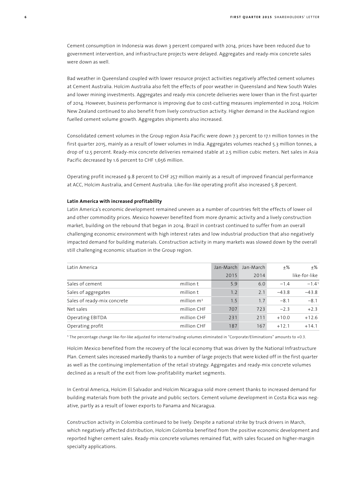Cement consumption in Indonesia was down 3 percent compared with 2014, prices have been reduced due to government intervention, and infrastructure projects were delayed. Aggregates and ready-mix concrete sales were down as well.

Bad weather in Queensland coupled with lower resource project activities negatively affected cement volumes at Cement Australia. Holcim Australia also felt the effects of poor weather in Queensland and New South Wales and lower mining investments. Aggregates and ready-mix concrete deliveries were lower than in the first quarter of 2014. However, business performance is improving due to cost-cutting measures implemented in 2014. Holcim New Zealand continued to also benefit from lively construction activity. Higher demand in the Auckland region fuelled cement volume growth. Aggregates shipments also increased.

Consolidated cement volumes in the Group region Asia Pacific were down 7.3 percent to 17.1 million tonnes in the first quarter 2015, mainly as a result of lower volumes in India. Aggregates volumes reached 5.3 million tonnes, a drop of 12.5 percent. Ready-mix concrete deliveries remained stable at 2.5 million cubic meters. Net sales in Asia Pacific decreased by 1.6 percent to CHF 1,656 million.

Operating profit increased 9.8 percent to CHF 257 million mainly as a result of improved financial performance at ACC, Holcim Australia, and Cement Australia. Like-for-like operating profit also increased 5.8 percent.

# **Latin America with increased profitability**

Latin America's economic development remained uneven as a number of countries felt the effects of lower oil and other commodity prices. Mexico however benefited from more dynamic activity and a lively construction market, building on the rebound that began in 2014. Brazil in contrast continued to suffer from an overall challenging economic environment with high interest rates and low industrial production that also negatively impacted demand for building materials. Construction activity in many markets was slowed down by the overall still challenging economic situation in the Group region.

| Latin America               |              | Jan-March | Jan-March | $+$ %   | $+$ %         |
|-----------------------------|--------------|-----------|-----------|---------|---------------|
|                             |              | 2015      | 2014      |         | like-for-like |
| Sales of cement             | million t    | 5.9       | 6.0       | $-1.4$  | $-1.41$       |
| Sales of aggregates         | million t    | 1.2       | 2.1       | $-43.8$ | $-43.8$       |
| Sales of ready-mix concrete | million $m3$ | 1.5       | 1.7       | $-8.1$  | $-8.1$        |
| Net sales                   | million CHF  | 707       | 723       | $-2.3$  | $+2.3$        |
| Operating EBITDA            | million CHF  | 231       | 211       | $+10.0$ | $+12.6$       |
| Operating profit            | million CHF  | 187       | 167       | $+12.1$ | $+14.1$       |

<sup>1</sup> The percentage change like-for-like adjusted for internal trading volumes eliminated in "Corporate/Eliminations" amounts to +0.3.

Holcim Mexico benefited from the recovery of the local economy that was driven by the National Infrastructure Plan. Cement sales increased markedly thanks to a number of large projects that were kicked off in the first quarter as well as the continuing implementation of the retail strategy. Aggregates and ready-mix concrete volumes declined as a result of the exit from low-profitability market segments.

In Central America, Holcim El Salvador and Holcim Nicaragua sold more cement thanks to increased demand for building materials from both the private and public sectors. Cement volume development in Costa Rica was negative, partly as a result of lower exports to Panama and Nicaragua.

Construction activity in Colombia continued to be lively. Despite a national strike by truck drivers in March, which negatively affected distribution, Holcim Colombia benefited from the positive economic development and reported higher cement sales. Ready-mix concrete volumes remained flat, with sales focused on higher-margin specialty applications.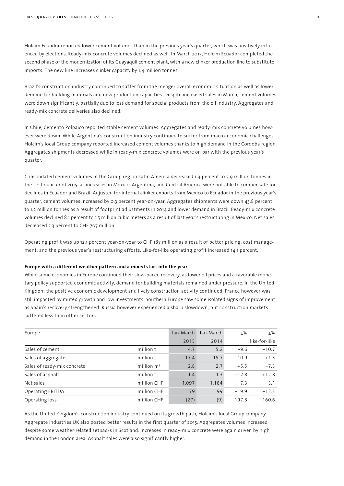Holcim Ecuador reported lower cement volumes than in the previous year's quarter, which was positively influenced by elections. Ready-mix concrete volumes declined as well. In March 2015, Holcim Ecuador completed the second phase of the modernization of its Guayaquil cement plant, with a new clinker production line to substitute imports. The new line increases clinker capacity by 1.4 million tonnes.

Brazil's construction industry continued to suffer from the meager overall economic situation as well as lower demand for building materials and new production capacities. Despite increased sales in March, cement volumes were down significantly, partially due to less demand for special products from the oil industry. Aggregates and ready-mix concrete deliveries also declined.

In Chile, Cemento Polpaico reported stable cement volumes. Aggregates and ready-mix concrete volumes however were down. While Argentina's construction industry continued to suffer from macro-economic challenges Holcim's local Group company reported increased cement volumes thanks to high demand in the Cordoba region. Aggregates shipments decreased while in ready-mix concrete volumes were on par with the previous year's quarter.

Consolidated cement volumes in the Group region Latin America decreased 1.4 percent to 5.9 million tonnes in the first quarter of 2015, as increases in Mexico, Argentina, and Central America were not able to compensate for declines in Ecuador and Brazil. Adjusted for internal clinker exports from Mexico to Ecuador in the previous year's quarter, cement volumes increased by 0.3 percent year-on-year. Aggregates shipments were down 43.8 percent to 1.2 million tonnes as a result of footprint adjustments in 2014 and lower demand in Brazil. Ready-mix concrete volumes declined 8.1 percent to 1.5 million cubic meters as a result of last year's restructuring in Mexico. Net sales decreased 2.3 percent to CHF 707 million.

Operating profit was up 12.1 percent year-on-year to CHF 187 million as a result of better pricing, cost management, and the previous year's restructuring efforts. Like-for-like operating profit increased 14.1 percent.

# **Europe with a different weather pattern and a mixed start into the year**

While some economies in Europe continued their slow-paced recovery, as lower oil prices and a favorable monetary policy supported economic activity, demand for building materials remained under pressure. In the United Kingdom the positive economic development and lively construction activity continued. France however was still impacted by muted growth and low investments. Southern Europe saw some isolated signs of improvement as Spain's recovery strengthened. Russia however experienced a sharp slowdown, but construction markets suffered less than other sectors.

| Europe                      |               | Jan-March | Jan-March | $+$ %    | $\pm\%$       |
|-----------------------------|---------------|-----------|-----------|----------|---------------|
|                             |               | 2015      | 2014      |          | like-for-like |
| Sales of cement             | million t     | 4.7       | 5.2       | $-9.6$   | $-10.7$       |
| Sales of aggregates         | million t     | 17.4      | 15.7      | $+10.9$  | $+1.3$        |
| Sales of ready-mix concrete | million $m^3$ | 2.8       | 2.7       | $+5.5$   | $-7.3$        |
| Sales of asphalt            | million t     | 1.4       | 1.3       | $+12.8$  | $+12.8$       |
| Net sales                   | million CHF   | 1,097     | 1,184     | $-7.3$   | $-3.1$        |
| Operating EBITDA            | million CHF   | 79        | 99        | $-19.9$  | $-12.3$       |
| Operating loss              | million CHF   | (27)      | (9)       | $-197.8$ | $-160.6$      |

As the United Kingdom's construction industry continued on its growth path, Holcim's local Group company Aggregate Industries UK also posted better results in the first quarter of 2015. Aggregates volumes increased despite some weather-related setbacks in Scotland. Increases in ready-mix concrete were again driven by high demand in the London area. Asphalt sales were also significantly higher.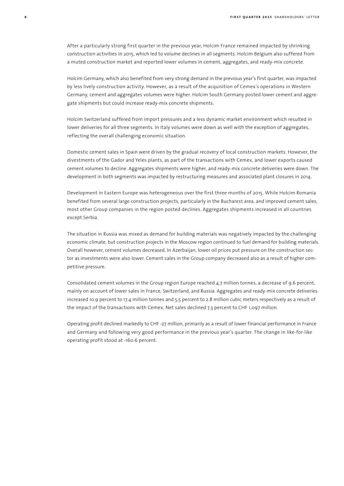After a particularly strong first quarter in the previous year, Holcim France remained impacted by shrinking construction activities in 2015, which led to volume declines in all segments. Holcim Belgium also suffered from a muted construction market and reported lower volumes in cement, aggregates, and ready-mix concrete.

Holcim Germany, which also benefited from very strong demand in the previous year's first quarter, was impacted by less lively construction activity. However, as a result of the acquisition of Cemex's operations in Western Germany, cement and aggregates volumes were higher. Holcim South Germany posted lower cement and aggregate shipments but could increase ready-mix concrete shipments.

Holcim Switzerland suffered from import pressures and a less dynamic market environment which resulted in lower deliveries for all three segments. In Italy volumes were down as well with the exception of aggregates, reflecting the overall challenging economic situation.

Domestic cement sales in Spain were driven by the gradual recovery of local construction markets. However, the divestments of the Gador and Yeles plants, as part of the transactions with Cemex, and lower exports caused cement volumes to decline. Aggregates shipments were higher, and ready-mix concrete deliveries were down. The development in both segments was impacted by restructuring measures and associated plant closures in 2014.

Development in Eastern Europe was heterogeneous over the first three months of 2015. While Holcim Romania benefited from several large construction projects, particularly in the Bucharest area, and improved cement sales, most other Group companies in the region posted declines. Aggregates shipments increased in all countries except Serbia.

The situation in Russia was mixed as demand for building materials was negatively impacted by the challenging economic climate, but construction projects in the Moscow region continued to fuel demand for building materials. Overall however, cement volumes decreased. In Azerbaijan, lower oil prices put pressure on the construction sector as investments were also lower. Cement sales in the Group company decreased also as a result of higher competitive pressure.

Consolidated cement volumes in the Group region Europe reached 4.7 million tonnes, a decrease of 9.6 percent, mainly on account of lower sales in France, Switzerland, and Russia. Aggregates and ready-mix concrete deliveries increased 10.9 percent to 17.4 million tonnes and 5.5 percent to 2.8 million cubic meters respectively as a result of the impact of the transactions with Cemex. Net sales declined 7.3 percent to CHF 1,097 million.

Operating profit declined markedly to CHF -27 million, primarily as a result of lower financial performance in France and Germany and following very good performance in the previous year's quarter. The change in like-for-like operating profit stood at -160.6 percent.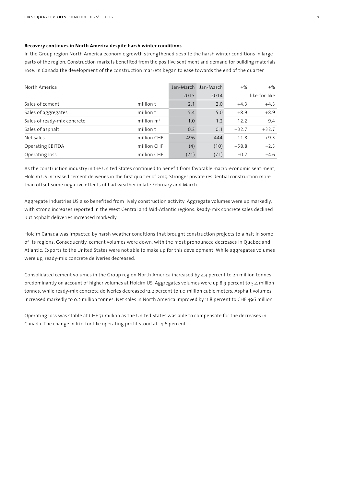# **Recovery continues in North America despite harsh winter conditions**

In the Group region North America economic growth strengthened despite the harsh winter conditions in large parts of the region. Construction markets benefited from the positive sentiment and demand for building materials rose. In Canada the development of the construction markets began to ease towards the end of the quarter.

| North America               |               | Jan-March | Jan-March | $+$ %   | $+$ %         |
|-----------------------------|---------------|-----------|-----------|---------|---------------|
|                             |               | 2015      | 2014      |         | like-for-like |
| Sales of cement             | million t     | 2.1       | 2.0       | $+4.3$  | $+4.3$        |
| Sales of aggregates         | million t     | 5.4       | 5.0       | $+8.9$  | $+8.9$        |
| Sales of ready-mix concrete | million $m^3$ | 1.0       | 1.2       | $-12.2$ | $-9.4$        |
| Sales of asphalt            | million t     | 0.2       | 0.1       | $+32.7$ | $+32.7$       |
| Net sales                   | million CHF   | 496       | 444       | $+11.8$ | $+9.3$        |
| Operating EBITDA            | million CHF   | (4)       | (10)      | $+58.8$ | $-2.5$        |
| Operating loss              | million CHF   | (71)      | (71)      | $-0.2$  | $-4.6$        |
|                             |               |           |           |         |               |

As the construction industry in the United States continued to benefit from favorable macro-economic sentiment, Holcim US increased cement deliveries in the first quarter of 2015. Stronger private residential construction more than offset some negative effects of bad weather in late February and March.

Aggregate Industries US also benefited from lively construction activity. Aggregate volumes were up markedly, with strong increases reported in the West Central and Mid-Atlantic regions. Ready-mix concrete sales declined but asphalt deliveries increased markedly.

Holcim Canada was impacted by harsh weather conditions that brought construction projects to a halt in some of its regions. Consequently, cement volumes were down, with the most pronounced decreases in Quebec and Atlantic. Exports to the United States were not able to make up for this development. While aggregates volumes were up, ready-mix concrete deliveries decreased.

Consolidated cement volumes in the Group region North America increased by 4.3 percent to 2.1 million tonnes, predominantly on account of higher volumes at Holcim US. Aggregates volumes were up 8.9 percent to 5.4 million tonnes, while ready-mix concrete deliveries decreased 12.2 percent to 1.0 million cubic meters. Asphalt volumes increased markedly to 0.2 million tonnes. Net sales in North America improved by 11.8 percent to CHF 496 million.

Operating loss was stable at CHF 71 million as the United States was able to compensate for the decreases in Canada. The change in like-for-like operating profit stood at -4.6 percent.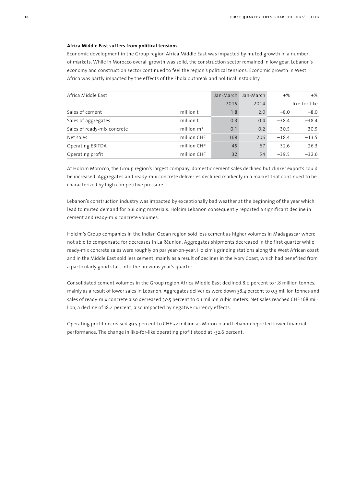# **Africa Middle East suffers from political tensions**

Economic development in the Group region Africa Middle East was impacted by muted growth in a number of markets. While in Morocco overall growth was solid, the construction sector remained in low gear. Lebanon's economy and construction sector continued to feel the region's political tensions. Economic growth in West Africa was partly impacted by the effects of the Ebola outbreak and political instability.

| Africa Middle East          |               | Jan-March | Jan-March | $+$ %   | +%            |
|-----------------------------|---------------|-----------|-----------|---------|---------------|
|                             |               | 2015      | 2014      |         | like-for-like |
| Sales of cement             | million t     | 1.8       | 2.0       | $-8.0$  | $-8.0$        |
| Sales of aggregates         | million t     | 0.3       | 0.4       | $-38.4$ | $-38.4$       |
| Sales of ready-mix concrete | million $m^3$ | 0.1       | 0.2       | $-30.5$ | $-30.5$       |
| Net sales                   | million CHF   | 168       | 206       | $-18.4$ | $-13.5$       |
| Operating EBITDA            | million CHF   | 45        | 67        | $-32.6$ | $-26.3$       |
| Operating profit            | million CHF   | 32        | 54        | $-39.5$ | $-32.6$       |

At Holcim Morocco, the Group region's largest company, domestic cement sales declined but clinker exports could be increased. Aggregates and ready-mix concrete deliveries declined markedly in a market that continued to be characterized by high competitive pressure.

Lebanon's construction industry was impacted by exceptionally bad weather at the beginning of the year which lead to muted demand for building materials. Holcim Lebanon consequently reported a significant decline in cement and ready-mix concrete volumes.

Holcim's Group companies in the Indian Ocean region sold less cement as higher volumes in Madagascar where not able to compensate for decreases in La Réunion. Aggregates shipments decreased in the first quarter while ready-mix concrete sales were roughly on par year-on-year. Holcim's grinding stations along the West African coast and in the Middle East sold less cement, mainly as a result of declines in the Ivory Coast, which had benefited from a particularly good start into the previous year's quarter.

Consolidated cement volumes in the Group region Africa Middle East declined 8.0 percent to 1.8 million tonnes, mainly as a result of lower sales in Lebanon. Aggregates deliveries were down 38.4 percent to 0.3 million tonnes and sales of ready-mix concrete also decreased 30.5 percent to 0.1 million cubic meters. Net sales reached CHF 168 million, a decline of 18.4 percent, also impacted by negative currency effects.

Operating profit decreased 39.5 percent to CHF 32 million as Morocco and Lebanon reported lower financial performance. The change in like-for-like operating profit stood at -32.6 percent.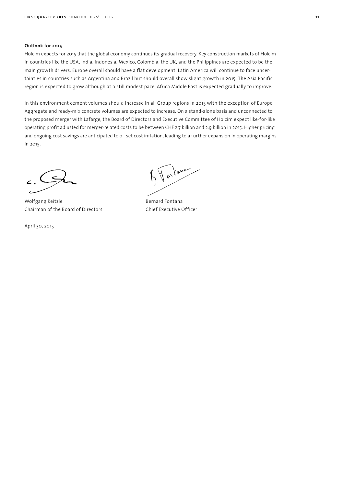# **Outlook for 2015**

Holcim expects for 2015 that the global economy continues its gradual recovery. Key construction markets of Holcim in countries like the USA, India, Indonesia, Mexico, Colombia, the UK, and the Philippines are expected to be the main growth drivers. Europe overall should have a flat development. Latin America will continue to face uncertainties in countries such as Argentina and Brazil but should overall show slight growth in 2015. The Asia Pacific region is expected to grow although at a still modest pace. Africa Middle East is expected gradually to improve.

In this environment cement volumes should increase in all Group regions in 2015 with the exception of Europe. Aggregate and ready-mix concrete volumes are expected to increase. On a stand-alone basis and unconnected to the proposed merger with Lafarge, the Board of Directors and Executive Committee of Holcim expect like-for-like operating profit adjusted for merger-related costs to be between CHF 2.7 billion and 2.9 billion in 2015. Higher pricing and ongoing cost savings are anticipated to offset cost inflation, leading to a further expansion in operating margins in 2015.

Wolfgang Reitzle **Bernard Fontana** Chairman of the Board of Directors Chief Executive Officer

April 30, 2015

For law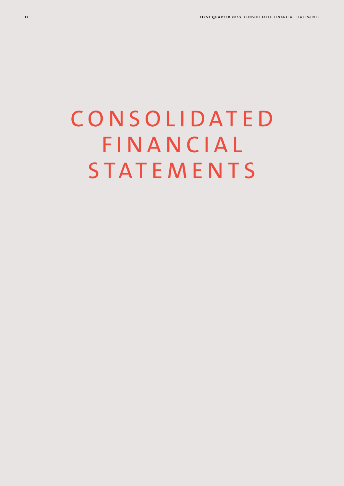# **CONSOLIDATED FINANCIAL STATEMENTS**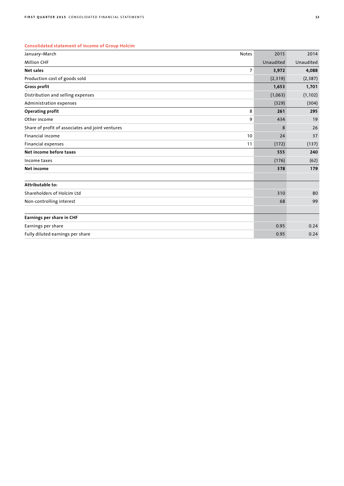# **Consolidated statement of income of Group Holcim**

| January-March                                    | <b>Notes</b>   | 2015      | 2014      |
|--------------------------------------------------|----------------|-----------|-----------|
| <b>Million CHF</b>                               |                | Unaudited | Unaudited |
| <b>Net sales</b>                                 | $\overline{7}$ | 3,972     | 4,088     |
| Production cost of goods sold                    |                | (2,319)   | (2, 387)  |
| <b>Gross profit</b>                              |                | 1,653     | 1,701     |
| Distribution and selling expenses                |                | (1,063)   | (1, 102)  |
| Administration expenses                          |                | (329)     | (304)     |
| <b>Operating profit</b>                          | 8              | 261       | 295       |
| Other income                                     | 9              | 434       | 19        |
| Share of profit of associates and joint ventures |                | 8         | 26        |
| Financial income                                 | 10             | 24        | 37        |
| Financial expenses                               | 11             | (172)     | (137)     |
| Net income before taxes                          |                | 555       | 240       |
| Income taxes                                     |                | (176)     | (62)      |
| Net income                                       |                | 378       | 179       |
| Attributable to:                                 |                |           |           |
| Shareholders of Holcim Ltd                       |                | 310       | 80        |
| Non-controlling interest                         |                | 68        | 99        |
| Earnings per share in CHF                        |                |           |           |
| Earnings per share                               |                | 0.95      | 0.24      |
| Fully diluted earnings per share                 |                | 0.95      | 0.24      |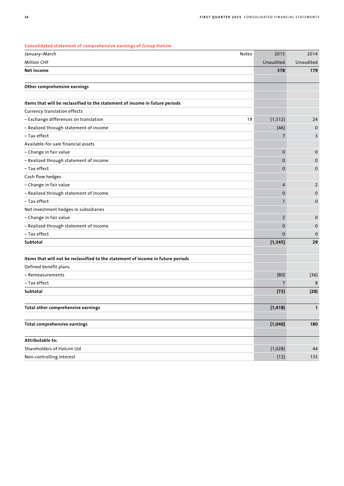| January-March                                                                    | <b>Notes</b> | 2015           | 2014           |
|----------------------------------------------------------------------------------|--------------|----------------|----------------|
| <b>Million CHF</b>                                                               |              | Unaudited      | Unaudited      |
| Net income                                                                       |              | 378            | 179            |
| Other comprehensive earnings                                                     |              |                |                |
|                                                                                  |              |                |                |
| Items that will be reclassified to the statement of income in future periods     |              |                |                |
| Currency translation effects                                                     |              |                |                |
| - Exchange differences on translation                                            | 19           | (1, 312)       | 24             |
| - Realized through statement of income                                           |              | (46)           | 0              |
| – Tax effect                                                                     |              | $\overline{7}$ | 3              |
| Available-for-sale financial assets                                              |              |                |                |
| - Change in fair value                                                           |              | $\mathbf 0$    | 0              |
| - Realized through statement of income                                           |              | $\mathbf{0}$   | 0              |
| - Tax effect                                                                     |              | $\mathbf 0$    | 0              |
| Cash flow hedges                                                                 |              |                |                |
| - Change in fair value                                                           |              | $\overline{4}$ | $\overline{2}$ |
| - Realized through statement of income                                           |              | $\mathbf{0}$   | 0              |
| - Tax effect                                                                     |              | 1              | 0              |
| Net investment hedges in subsidiaries                                            |              |                |                |
| - Change in fair value                                                           |              | $\overline{2}$ | 0              |
| - Realized through statement of income                                           |              | $\mathbf{0}$   | 0              |
| - Tax effect                                                                     |              | $\Omega$       | 0              |
| Subtotal                                                                         |              | (1, 345)       | 29             |
| Items that will not be reclassified to the statement of income in future periods |              |                |                |
| Defined benefit plans                                                            |              |                |                |
| - Remeasurements                                                                 |              | (80)           | (36)           |
| - Tax effect                                                                     |              | $\overline{7}$ | 8              |
| Subtotal                                                                         |              | (73)           | (28)           |
|                                                                                  |              |                |                |
| Total other comprehensive earnings                                               |              | (1, 418)       | 1              |
| Total comprehensive earnings                                                     |              | (1,040)        | 180            |
| Attributable to:                                                                 |              |                |                |
| Shareholders of Holcim Ltd                                                       |              | (1,028)        | 44             |
| Non-controlling interest                                                         |              | (12)           | 135            |
|                                                                                  |              |                |                |

## **Consolidated statement of comprehensive earnings of Group Holcim**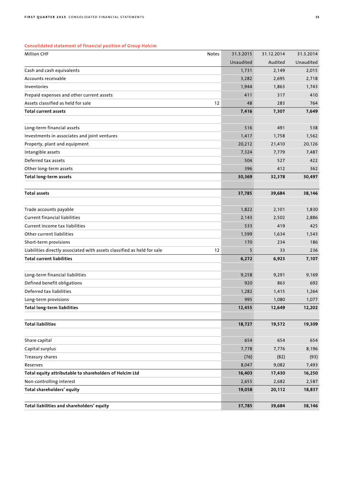# **Consolidated statement of financial position of Group Holcim**

| <b>Million CHF</b>                                                      | Notes | 31.3.2015 | 31.12.2014 | 31.3.2014 |
|-------------------------------------------------------------------------|-------|-----------|------------|-----------|
|                                                                         |       | Unaudited | Audited    | Unaudited |
| Cash and cash equivalents                                               |       | 1,731     | 2,149      | 2,015     |
| Accounts receivable                                                     |       | 3,282     | 2,695      | 2,718     |
| Inventories                                                             |       | 1,944     | 1,863      | 1,743     |
| Prepaid expenses and other current assets                               |       | 411       | 317        | 410       |
| Assets classified as held for sale                                      | 12    | 48        | 283        | 764       |
| <b>Total current assets</b>                                             |       | 7,416     | 7,307      | 7,649     |
|                                                                         |       |           |            |           |
| Long-term financial assets                                              |       | 516       | 491        | 538       |
| Investments in associates and joint ventures                            |       | 1,417     | 1,758      | 1,562     |
| Property, plant and equipment                                           |       | 20,212    | 21,410     | 20,126    |
| Intangible assets                                                       |       | 7,324     | 7,779      | 7,487     |
| Deferred tax assets                                                     |       | 504       | 527        | 422       |
| Other long-term assets                                                  |       | 396       | 412        | 362       |
| <b>Total long-term assets</b>                                           |       | 30,369    | 32,378     | 30,497    |
| <b>Total assets</b>                                                     |       | 37,785    | 39,684     | 38,146    |
| Trade accounts payable                                                  |       | 1,822     | 2,101      | 1,830     |
| <b>Current financial liabilities</b>                                    |       | 2,143     | 2,502      | 2,886     |
| Current income tax liabilities                                          |       | 533       | 419        | 425       |
| Other current liabilities                                               |       | 1,599     | 1,634      | 1,543     |
| Short-term provisions                                                   |       | 170       | 234        | 186       |
| Liabilities directly associated with assets classified as held for sale | 12    | 5         | 33         | 236       |
| <b>Total current liabilities</b>                                        |       | 6,272     | 6,923      | 7,107     |
|                                                                         |       |           |            |           |
| Long-term financial liabilities                                         |       | 9,258     | 9,291      | 9,169     |
| Defined benefit obligations                                             |       | 920       | 863        | 692       |
| Deferred tax liabilities                                                |       | 1,282     | 1,415      | 1,264     |
| Long-term provisions                                                    |       | 995       | 1,080      | 1,077     |
| <b>Total long-term liabilities</b>                                      |       | 12,455    | 12,649     | 12,202    |
| <b>Total liabilities</b>                                                |       | 18,727    | 19,572     | 19,309    |
| Share capital                                                           |       | 654       | 654        | 654       |
| Capital surplus                                                         |       | 7,778     | 7,776      | 8,196     |
| Treasury shares                                                         |       | (76)      | (82)       | (93)      |
| Reserves                                                                |       | 8,047     | 9,082      | 7,493     |
| Total equity attributable to shareholders of Holcim Ltd                 |       | 16,403    | 17,430     | 16,250    |
| Non-controlling interest                                                |       | 2,655     | 2,682      | 2,587     |
| Total shareholders' equity                                              |       | 19,058    | 20,112     | 18,837    |
|                                                                         |       |           |            |           |
| Total liabilities and shareholders' equity                              |       | 37,785    | 39,684     | 38,146    |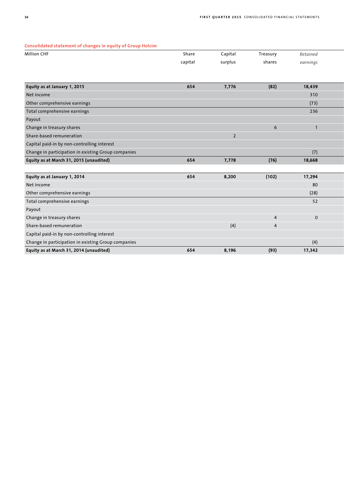#### **Consolidated statement of changes in equity of Group Holcim**

| Consolidated statement of changes in equity of Group Holcim |         |                |                |             |
|-------------------------------------------------------------|---------|----------------|----------------|-------------|
| <b>Million CHF</b>                                          | Share   | Capital        | Treasury       | Retained    |
|                                                             | capital | surplus        | shares         | earnings    |
|                                                             |         |                |                |             |
|                                                             |         |                |                |             |
| Equity as at January 1, 2015                                | 654     | 7,776          | (82)           | 18,439      |
| Net income                                                  |         |                |                | 310         |
| Other comprehensive earnings                                |         |                |                | (73)        |
| Total comprehensive earnings                                |         |                |                | 236         |
| Payout                                                      |         |                |                |             |
| Change in treasury shares                                   |         |                | 6              |             |
| Share-based remuneration                                    |         | $\overline{2}$ |                |             |
| Capital paid-in by non-controlling interest                 |         |                |                |             |
| Change in participation in existing Group companies         |         |                |                | (7)         |
| Equity as at March 31, 2015 (unaudited)                     | 654     | 7,778          | (76)           | 18,668      |
|                                                             |         |                |                |             |
| Equity as at January 1, 2014                                | 654     | 8,200          | (102)          | 17,294      |
| Net income                                                  |         |                |                | 80          |
| Other comprehensive earnings                                |         |                |                | (28)        |
| Total comprehensive earnings                                |         |                |                | 52          |
| Payout                                                      |         |                |                |             |
| Change in treasury shares                                   |         |                | $\overline{4}$ | $\mathbf 0$ |
| Change the seat as a construction                           |         | (4)            | $\overline{a}$ |             |

| Equity as at March 31, 2014 (unaudited)             | 654 | 8,196 | (93) | 17,342 |
|-----------------------------------------------------|-----|-------|------|--------|
| Change in participation in existing Group companies |     |       |      |        |
| Capital paid-in by non-controlling interest         |     |       |      |        |
| Share-based remuneration                            |     |       |      |        |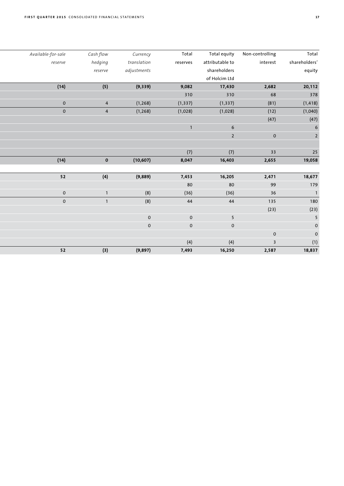| Total         | Non-controlling         | Total equity    | Total        | Currency       | Cash flow               | Available-for-sale |
|---------------|-------------------------|-----------------|--------------|----------------|-------------------------|--------------------|
| shareholders' | interest                | attributable to | reserves     | translation    | hedging                 | reserve            |
| equity        |                         | shareholders    |              | adjustments    | reserve                 |                    |
|               |                         | of Holcim Ltd   |              |                |                         |                    |
| 20,112        | 2,682                   | 17,430          | 9,082        | (9, 339)       | (5)                     | (14)               |
| 378           | 68                      | 310             | 310          |                |                         |                    |
| (1, 418)      | (81)                    | (1, 337)        | (1, 337)     | (1, 268)       | $\overline{4}$          | $\overline{0}$     |
| (1,040)       | (12)                    | (1,028)         | (1,028)      | (1, 268)       | $\overline{4}$          | $\overline{0}$     |
| (47)          | (47)                    |                 |              |                |                         |                    |
|               |                         | $6\phantom{1}6$ | $\mathbf{1}$ |                |                         |                    |
|               | $\mathbf 0$             | $\overline{2}$  |              |                |                         |                    |
|               |                         |                 |              |                |                         |                    |
|               | 33                      | (7)             | (7)          |                |                         |                    |
| 19,058        | 2,655                   | 16,403          | 8,047        | (10, 607)      | $\overline{\mathbf{0}}$ | (14)               |
|               |                         |                 |              |                |                         |                    |
| 18,677        | 2,471                   | 16,205          | 7,453        | (9,889)        | (4)                     | 52                 |
|               | 99                      | 80              | 80           |                |                         |                    |
|               | 36                      | (36)            | (36)         | (8)            |                         | $\overline{0}$     |
|               | 135                     | 44              | 44           | (8)            | $\mathbf{1}$            | $\overline{0}$     |
|               | (23)                    |                 |              |                |                         |                    |
|               |                         | $5\overline{)}$ | $\,$ O       | $\mathsf{O}^-$ |                         |                    |
|               |                         | $\mathbf 0$     | $\mathbf 0$  | $\mathsf{O}^-$ |                         |                    |
|               | $\mathsf{O}\xspace$     |                 |              |                |                         |                    |
|               | $\overline{\mathbf{3}}$ | (4)             | (4)          |                |                         |                    |
|               | 2,587                   | 16,250          | 7,493        | (9, 897)       | (3)                     | 52                 |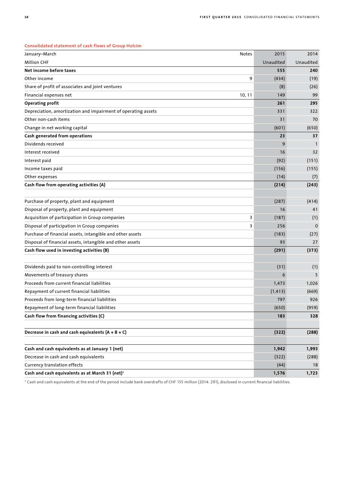| January-March                                                 | Notes  | 2015      | 2014        |
|---------------------------------------------------------------|--------|-----------|-------------|
| <b>Million CHF</b>                                            |        | Unaudited | Unaudited   |
| Net income before taxes                                       |        | 555       | 240         |
| Other income                                                  | 9      | (434)     | (19)        |
| Share of profit of associates and joint ventures              |        | (8)       | (26)        |
| Financial expenses net                                        | 10, 11 | 149       | 99          |
| <b>Operating profit</b>                                       |        | 261       | 295         |
| Depreciation, amortization and impairment of operating assets |        | 331       | 322         |
| Other non-cash items                                          |        | 31        | 70          |
| Change in net working capital                                 |        | (601)     | (650)       |
| Cash generated from operations                                |        | 23        | 37          |
| Dividends received                                            |        | 9         | 1           |
| Interest received                                             |        | 16        | 32          |
| Interest paid                                                 |        | (92)      | (151)       |
| Income taxes paid                                             |        | (156)     | (155)       |
| Other expenses                                                |        | (14)      | (7)         |
| Cash flow from operating activities (A)                       |        | (214)     | (243)       |
|                                                               |        |           |             |
| Purchase of property, plant and equipment                     |        | (287)     | (414)       |
| Disposal of property, plant and equipment                     |        | 16        | 41          |
| Acquisition of participation in Group companies               | 3      | (187)     | (1)         |
| Disposal of participation in Group companies                  | 3      | 256       | $\mathbf 0$ |
| Purchase of financial assets, intangible and other assets     |        | (183)     | (27)        |
| Disposal of financial assets, intangible and other assets     |        | 93        | 27          |
| Cash flow used in investing activities (B)                    |        | (291)     | (373)       |
|                                                               |        |           |             |
| Dividends paid to non-controlling interest                    |        | (31)      | (1)         |
| Movements of treasury shares                                  |        | 6         | 5           |
| Proceeds from current financial liabilities                   |        | 1,473     | 1,026       |
| Repayment of current financial liabilities                    |        | (1, 413)  | (669)       |
| Proceeds from long-term financial liabilities                 |        | 797       | 926         |
| Repayment of long-term financial liabilities                  |        | (650)     | (959)       |
| Cash flow from financing activities (C)                       |        | 183       | 328         |
|                                                               |        |           |             |
| Decrease in cash and cash equivalents $(A + B + C)$           |        | (322)     | (288)       |
| Cash and cash equivalents as at January 1 (net)               |        | 1,942     | 1,993       |
| Decrease in cash and cash equivalents                         |        | (322)     | (288)       |
| Currency translation effects                                  |        | (44)      | 18          |
| Cash and cash equivalents as at March 31 (net) <sup>1</sup>   |        | 1,576     | 1,723       |
|                                                               |        |           |             |

# **Consolidated statement of cash flows of Group Holcim**

1 Cash and cash equivalents at the end of the period include bank overdrafts of CHF 155 million (2014: 291), disclosed in current financial liabilities.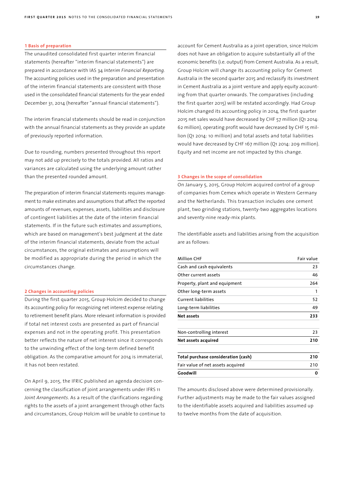#### **1 Basis of preparation**

The unaudited consolidated first quarter interim financial statements (hereafter "interim financial statements") are prepared in accordance with IAS 34 *Interim Financial Reporting.*  The accounting policies used in the preparation and presentation of the interim financial statements are consistent with those used in the consolidated financial statements for the year ended December 31, 2014 (hereafter "annual financial statements").

The interim financial statements should be read in conjunction with the annual financial statements as they provide an update of previously reported information.

Due to rounding, numbers presented throughout this report may not add up precisely to the totals provided. All ratios and variances are calculated using the underlying amount rather than the presented rounded amount.

The preparation of interim financial statements requires management to make estimates and assumptions that affect the reported amounts of revenues, expenses, assets, liabilities and disclosure of contingent liabilities at the date of the interim financial statements. If in the future such estimates and assumptions, which are based on management's best judgment at the date of the interim financial statements, deviate from the actual circumstances, the original estimates and assumptions will be modified as appropriate during the period in which the circumstances change.

#### **2 Changes in accounting policies**

During the first quarter 2015, Group Holcim decided to change its accounting policy for recognizing net interest expense relating to retirement benefit plans. More relevant information is provided if total net interest costs are presented as part of financial expenses and not in the operating profit. This presentation better reflects the nature of net interest since it corresponds to the unwinding effect of the long-term defined benefit obligation. As the comparative amount for 2014 is immaterial, it has not been restated.

On April 9, 2015, the IFRIC published an agenda decision concerning the classification of joint arrangements under IFRS 11 *Joint Arrangements*. As a result of the clarifications regarding rights to the assets of a joint arrangement through other facts and circumstances, Group Holcim will be unable to continue to account for Cement Australia as a joint operation, since Holcim does not have an obligation to acquire substantially all of the economic benefits (i.e. output) from Cement Australia. As a result, Group Holcim will change its accounting policy for Cement Australia in the second quarter 2015 and reclassify its investment in Cement Australia as a joint venture and apply equity accounting from that quarter onwards. The comparatives (including the first quarter 2015) will be restated accordingly. Had Group Holcim changed its accounting policy in 2014, the first quarter 2015 net sales would have decreased by CHF 57 million (Q1 2014: 62 million), operating profit would have decreased by CHF 15 million (Q1 2014: 10 million) and total assets and total liabilities would have decreased by CHF 167 million (Q1 2014: 209 million). Equity and net income are not impacted by this change.

## **3 Changes in the scope of consolidation**

On January 5, 2015, Group Holcim acquired control of a group of companies from Cemex which operate in Western Germany and the Netherlands. This transaction includes one cement plant, two grinding stations, twenty-two aggregates locations and seventy-nine ready-mix plants.

The identifiable assets and liabilities arising from the acquisition are as follows:

| <b>Million CHF</b>                  | Fair value |
|-------------------------------------|------------|
| Cash and cash equivalents           | 23         |
| Other current assets                | 46         |
| Property, plant and equipment       | 264        |
| Other long-term assets              | 1          |
| <b>Current liabilities</b>          | 52         |
| Long-term liabilities               | 49         |
| Net assets                          | 233        |
| Non-controlling interest            | 23         |
| Net assets acquired                 | 210        |
| Total purchase consideration (cash) | 210        |
| Fair value of net assets acquired   | 210        |
| Goodwill                            | 0          |

The amounts disclosed above were determined provisionally. Further adjustments may be made to the fair values assigned to the identifiable assets acquired and liabilities assumed up to twelve months from the date of acquisition.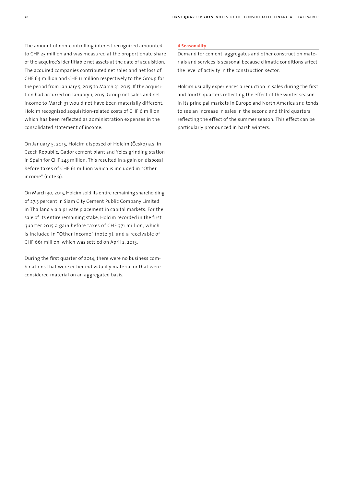The amount of non-controlling interest recognized amounted to CHF 23 million and was measured at the proportionate share of the acquiree's identifiable net assets at the date of acquisition. The acquired companies contributed net sales and net loss of CHF 64 million and CHF 11 million respectively to the Group for the period from January 5, 2015 to March 31, 2015. If the acquisition had occurred on January 1, 2015, Group net sales and net income to March 31 would not have been materially different. Holcim recognized acquisition-related costs of CHF 6 million which has been reflected as administration expenses in the consolidated statement of income.

On January 5, 2015, Holcim disposed of Holcim (Česko) a.s. in Czech Republic, Gador cement plant and Yeles grinding station in Spain for CHF 243 million. This resulted in a gain on disposal before taxes of CHF 61 million which is included in "Other income" (note 9).

On March 30, 2015, Holcim sold its entire remaining shareholding of 27.5 percent in Siam City Cement Public Company Limited in Thailand via a private placement in capital markets. For the sale of its entire remaining stake, Holcim recorded in the first quarter 2015 a gain before taxes of CHF 371 million, which is included in "Other income" (note 9), and a receivable of CHF 661 million, which was settled on April 2, 2015.

During the first quarter of 2014, there were no business combinations that were either individually material or that were considered material on an aggregated basis.

## **4 Seasonality**

Demand for cement, aggregates and other construction materials and services is seasonal because climatic conditions affect the level of activity in the construction sector.

Holcim usually experiences a reduction in sales during the first and fourth quarters reflecting the effect of the winter season in its principal markets in Europe and North America and tends to see an increase in sales in the second and third quarters reflecting the effect of the summer season. This effect can be particularly pronounced in harsh winters.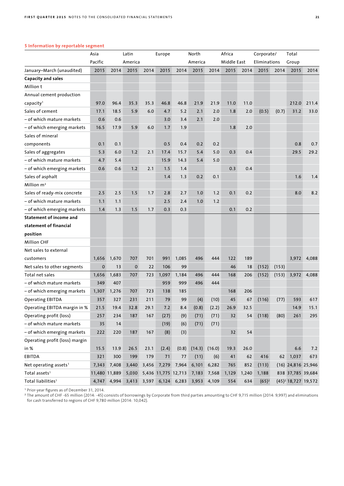|                                   | Asia          |             | Latin       |       | Europe                  |       | North   |        | Africa      |       | Corporate/   |       | Total                           |             |
|-----------------------------------|---------------|-------------|-------------|-------|-------------------------|-------|---------|--------|-------------|-------|--------------|-------|---------------------------------|-------------|
|                                   | Pacific       |             | America     |       |                         |       | America |        | Middle East |       | Eliminations |       | Group                           |             |
| January-March (unaudited)         | 2015          | 2014        | 2015        | 2014  | 2015                    | 2014  | 2015    | 2014   | 2015        | 2014  | 2015         | 2014  | 2015                            | 2014        |
| Capacity and sales                |               |             |             |       |                         |       |         |        |             |       |              |       |                                 |             |
| Million t                         |               |             |             |       |                         |       |         |        |             |       |              |       |                                 |             |
| Annual cement production          |               |             |             |       |                         |       |         |        |             |       |              |       |                                 |             |
| capacity <sup>1</sup>             | 97.0          | 96.4        | 35.3        | 35.3  | 46.8                    | 46.8  | 21.9    | 21.9   | 11.0        | 11.0  |              |       | 212.0                           | 211.4       |
| Sales of cement                   | 17.1          | 18.5        | 5.9         | 6.0   | 4.7                     | 5.2   | 2.1     | 2.0    | 1.8         | 2.0   | (0.5)        | (0.7) | 31.2                            | 33.0        |
| – of which mature markets         | 0.6           | 0.6         |             |       | 3.0                     | 3.4   | 2.1     | 2.0    |             |       |              |       |                                 |             |
| – of which emerging markets       | 16.5          | 17.9        | 5.9         | 6.0   | 1.7                     | 1.9   |         |        | 1.8         | 2.0   |              |       |                                 |             |
| Sales of mineral                  |               |             |             |       |                         |       |         |        |             |       |              |       |                                 |             |
| components                        | 0.1           | 0.1         |             |       | 0.5                     | 0.4   | 0.2     | 0.2    |             |       |              |       | 0.8                             | 0.7         |
| Sales of aggregates               | 5.3           | 6.0         | 1.2         | 2.1   | 17.4                    | 15.7  | 5.4     | 5.0    | 0.3         | 0.4   |              |       | 29.5                            | 29.2        |
| - of which mature markets         | 4.7           | 5.4         |             |       | 15.9                    | 14.3  | 5.4     | 5.0    |             |       |              |       |                                 |             |
| – of which emerging markets       | 0.6           | 0.6         | 1.2         | 2.1   | 1.5                     | 1.4   |         |        | 0.3         | 0.4   |              |       |                                 |             |
| Sales of asphalt                  |               |             |             |       | 1.4                     | 1.3   | 0.2     | 0.1    |             |       |              |       | 1.6                             | 1.4         |
| Million $m3$                      |               |             |             |       |                         |       |         |        |             |       |              |       |                                 |             |
| Sales of ready-mix concrete       | 2.5           | 2.5         | 1.5         | 1.7   | 2.8                     | 2.7   | 1.0     | 1.2    | 0.1         | 0.2   |              |       | 8.0                             | 8.2         |
| – of which mature markets         | 1.1           | 1.1         |             |       | 2.5                     | 2.4   | 1.0     | 1.2    |             |       |              |       |                                 |             |
| - of which emerging markets       | 1.4           | 1.3         | 1.5         | 1.7   | 0.3                     | 0.3   |         |        | 0.1         | 0.2   |              |       |                                 |             |
| <b>Statement of income and</b>    |               |             |             |       |                         |       |         |        |             |       |              |       |                                 |             |
| statement of financial            |               |             |             |       |                         |       |         |        |             |       |              |       |                                 |             |
| position                          |               |             |             |       |                         |       |         |        |             |       |              |       |                                 |             |
| <b>Million CHF</b>                |               |             |             |       |                         |       |         |        |             |       |              |       |                                 |             |
| Net sales to external             |               |             |             |       |                         |       |         |        |             |       |              |       |                                 |             |
| customers                         | 1,656         | 1,670       | 707         | 701   | 991                     | 1,085 | 496     | 444    | 122         | 189   |              |       |                                 | 3,972 4,088 |
| Net sales to other segments       | $\mathbf 0$   | 13          | $\mathbf 0$ | 22    | 106                     | 99    |         |        | 46          | 18    | (152)        | (153) |                                 |             |
| Total net sales                   | 1,656         | 1,683       | 707         | 723   | 1,097                   | 1,184 | 496     | 444    | 168         | 206   | (152)        | (153) | 3,972                           | 4,088       |
| – of which mature markets         | 349           | 407         |             |       | 959                     | 999   | 496     | 444    |             |       |              |       |                                 |             |
| - of which emerging markets       | 1,307         | 1,276       | 707         | 723   | 138                     | 185   |         |        | 168         | 206   |              |       |                                 |             |
| <b>Operating EBITDA</b>           | 357           | 327         | 231         | 211   | 79                      | 99    | (4)     | (10)   | 45          | 67    | (116)        | (77)  | 593                             | 617         |
| Operating EBITDA margin in %      | 21.5          | 19.4        | 32.8        | 29.1  | 7.2                     | 8.4   | (0.8)   | (2.2)  | 26.9        | 32.5  |              |       | 14.9                            | 15.1        |
| Operating profit (loss)           | 257           | 234         | 187         | 167   | (27)                    | (9)   | (71)    | (71)   | 32          | 54    | (118)        | (80)  | 261                             | 295         |
| - of which mature markets         | 35            | 14          |             |       | (19)                    | (6)   | (71)    | (71)   |             |       |              |       |                                 |             |
| - of which emerging markets       | 222           | 220         | 187         | 167   | (8)                     | (3)   |         |        | 32          | 54    |              |       |                                 |             |
| Operating profit (loss) margin    |               |             |             |       |                         |       |         |        |             |       |              |       |                                 |             |
| in %                              | 15.5          | 13.9        | 26.5        | 23.1  | (2.4)                   | (0.8) | (14.3)  | (16.0) | 19.3        | 26.0  |              |       | 6.6                             | 7.2         |
| EBITDA                            | 321           | 300         | 199         | 179   | 71                      | 77    | (11)    | (6)    | 41          | 62    | 416          | 62    | 1,037                           | 673         |
| Net operating assets <sup>1</sup> | 7,343         | 7,408       | 3,440       | 3,456 | 7,279                   | 7,964 | 6,101   | 6,282  | 765         | 852   | (113)        |       | $(16)$ 24,816 25,946            |             |
| Total assets <sup>1</sup>         | 11,480 11,889 |             | 5,030       |       | 5,436 11,775 12,713     |       | 7,183   | 7,568  | 1,129       | 1,240 | 1,188        |       | 838 37,785 39,684               |             |
| Total liabilities <sup>1</sup>    |               | 4,747 4,994 |             |       | 3,413 3,597 6,124 6,283 |       | 3,953   | 4,109  | 554         | 634   | $(65)^2$     |       | (45) <sup>2</sup> 18,727 19,572 |             |

# **5 Information by reportable segment**

<sup>1</sup>Prior-year figures as of December 31, 2014.

<sup>2</sup>The amount of CHF -65 million (2014: -45) consists of borrowings by Corporate from third parties amounting to CHF 9,715 million (2014: 9,997) and eliminations for cash transferred to regions of CHF 9,780 million (2014: 10,042).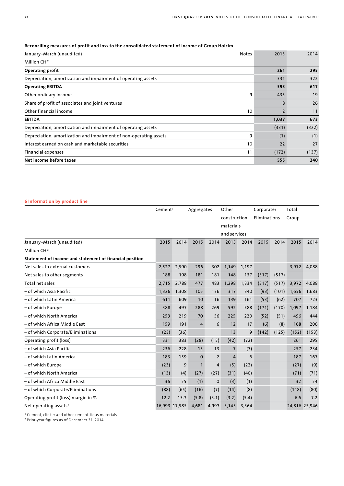# **Reconciling measures of profit and loss to the consolidated statement of income of Group Holcim**

| January-March (unaudited)                                         | <b>Notes</b> | 2015  | 2014  |
|-------------------------------------------------------------------|--------------|-------|-------|
| <b>Million CHF</b>                                                |              |       |       |
| <b>Operating profit</b>                                           |              | 261   | 295   |
| Depreciation, amortization and impairment of operating assets     |              | 331   | 322   |
| <b>Operating EBITDA</b>                                           |              | 593   | 617   |
| Other ordinary income                                             | 9            | 435   | 19    |
| Share of profit of associates and joint ventures                  |              | 8     | 26    |
| Other financial income                                            | 10           |       | 11    |
| <b>EBITDA</b>                                                     |              | 1,037 | 673   |
| Depreciation, amortization and impairment of operating assets     |              | (331) | (322) |
| Depreciation, amortization and impairment of non-operating assets | 9            | (1)   | (1)   |
| Interest earned on cash and marketable securities                 | 10           | 22    | 27    |
| Financial expenses                                                | 11           | (172) | (137) |
| Net income before taxes                                           |              | 555   | 240   |

# **6 Information by product line**

|                                                         | Cement <sup>1</sup> |       | Aggregates     |                | Other          |       | Corporate/   |       | Total |               |
|---------------------------------------------------------|---------------------|-------|----------------|----------------|----------------|-------|--------------|-------|-------|---------------|
|                                                         |                     |       |                |                | construction   |       | Eliminations |       | Group |               |
|                                                         |                     |       |                |                | materials      |       |              |       |       |               |
|                                                         |                     |       |                |                | and services   |       |              |       |       |               |
| January-March (unaudited)                               | 2015                | 2014  | 2015           | 2014           | 2015           | 2014  | 2015         | 2014  | 2015  | 2014          |
| <b>Million CHF</b>                                      |                     |       |                |                |                |       |              |       |       |               |
| Statement of income and statement of financial position |                     |       |                |                |                |       |              |       |       |               |
| Net sales to external customers                         | 2,527               | 2,590 | 296            | 302            | 1,149          | 1,197 |              |       | 3,972 | 4,088         |
| Net sales to other segments                             | 188                 | 198   | 181            | 181            | 148            | 137   | (517)        | (517) |       |               |
| Total net sales                                         | 2,715               | 2,788 | 477            | 483            | 1,298          | 1,334 | (517)        | (517) | 3,972 | 4,088         |
| – of which Asia Pacific                                 | 1,326               | 1,308 | 105            | 136            | 317            | 340   | (93)         | (101) | 1,656 | 1,683         |
| - of which Latin America                                | 611                 | 609   | 10             | 16             | 139            | 161   | (53)         | (62)  | 707   | 723           |
| - of which Europe                                       | 388                 | 497   | 288            | 269            | 592            | 588   | (171)        | (170) | 1,097 | 1.184         |
| - of which North America                                | 253                 | 219   | 70             | 56             | 225            | 220   | (52)         | (51)  | 496   | 444           |
| – of which Africa Middle East                           | 159                 | 191   | $\overline{4}$ | 6              | 12             | 17    | (6)          | (8)   | 168   | 206           |
| - of which Corporate/Eliminations                       | (23)                | (36)  |                |                | 13             | 9     | (142)        | (125) | (152) | (153)         |
| Operating profit (loss)                                 | 331                 | 383   | (28)           | (15)           | (42)           | (72)  |              |       | 261   | 295           |
| – of which Asia Pacific                                 | 236                 | 228   | 15             | 13             | $\overline{7}$ | (7)   |              |       | 257   | 234           |
| – of which Latin America                                | 183                 | 159   | $\mathbf{0}$   | $\overline{2}$ | $\overline{4}$ | 6     |              |       | 187   | 167           |
| - of which Europe                                       | (23)                | 9     | $\mathbf{1}$   | 4              | (5)            | (22)  |              |       | (27)  | (9)           |
| – of which North America                                | (13)                | (4)   | (27)           | (27)           | (31)           | (40)  |              |       | (71)  | (71)          |
| – of which Africa Middle East                           | 36                  | 55    | (1)            | 0              | (3)            | (1)   |              |       | 32    | 54            |
| - of which Corporate/Eliminations                       | (88)                | (65)  | (16)           | (7)            | (14)           | (8)   |              |       | (118) | (80)          |
| Operating profit (loss) margin in %                     | 12.2                | 13.7  | (5.8)          | (3.1)          | (3.2)          | (5.4) |              |       | 6.6   | 7.2           |
| Net operating assets <sup>2</sup>                       | 16,993 17,585       |       | 4,681          | 4,997          | 3,143          | 3,364 |              |       |       | 24,816 25,946 |

<sup>1</sup>Cement, clinker and other cementitious materials.

2 Prior-year figures as of December 31, 2014.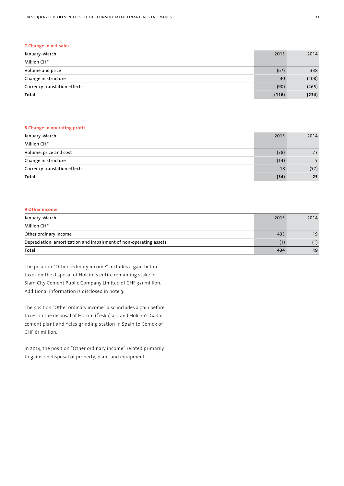| 7 Change in net sales        |       |       |
|------------------------------|-------|-------|
| January–March                | 2015  | 2014  |
| <b>Million CHF</b>           |       |       |
| Volume and price             | (67)  | 338   |
| Change in structure          | 40    | (108) |
| Currency translation effects | (90)  | (465) |
| Total                        | (116) | (234) |

# **8 Change in operating profit**

| January-March                | 2015 | 2014 |
|------------------------------|------|------|
| <b>Million CHF</b>           |      |      |
| Volume, price and cost       | (38) | 77   |
| Change in structure          | (14) |      |
| Currency translation effects | 18   | (57) |
| Total                        | (34) | 25   |

# **9 Other income**

| January-March                                                     | 2015 | 2014 |
|-------------------------------------------------------------------|------|------|
| <b>Million CHF</b>                                                |      |      |
| Other ordinary income                                             | 435  | 19   |
| Depreciation, amortization and impairment of non-operating assets |      | (1)  |
| Total                                                             | 434  | 19   |

The position "Other ordinary income" includes a gain before taxes on the disposal of Holcim's entire remaining stake in Siam City Cement Public Company Limited of CHF 371 million. Additional information is disclosed in note 3.

The position "Other ordinary income" also includes a gain before taxes on the disposal of Holcim (Česko) a.s. and Holcim's Gador cement plant and Yeles grinding station in Spain to Cemex of CHF 61 million.

In 2014, the position "Other ordinary income" related primarily to gains on disposal of property, plant and equipment.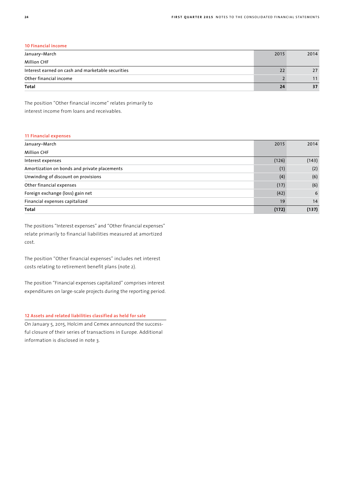# **10 Financial income**

| January-March                                     | 2015 | 2014 |
|---------------------------------------------------|------|------|
| <b>Million CHF</b>                                |      |      |
| Interest earned on cash and marketable securities |      | 27   |
| Other financial income                            |      |      |
| Total                                             | 24   | 37   |

The position "Other financial income" relates primarily to interest income from loans and receivables.

# **11 Financial expenses**

| January-March                                | 2015  | 2014  |
|----------------------------------------------|-------|-------|
| <b>Million CHF</b>                           |       |       |
| Interest expenses                            | (126) | (143) |
| Amortization on bonds and private placements | (1)   | (2)   |
| Unwinding of discount on provisions          | (4)   | (6)   |
| Other financial expenses                     | (17)  | (6)   |
| Foreign exchange (loss) gain net             | (42)  | 6     |
| Financial expenses capitalized               | 19    | 14    |
| Total                                        | (172) | (137) |

The positions "Interest expenses" and "Other financial expenses" relate primarily to financial liabilities measured at amortized cost.

The position "Other financial expenses" includes net interest costs relating to retirement benefit plans (note 2).

The position "Financial expenses capitalized" comprises interest expenditures on large-scale projects during the reporting period.

# **12 Assets and related liabilities classified as held for sale**

On January 5, 2015, Holcim and Cemex announced the successful closure of their series of transactions in Europe. Additional information is disclosed in note 3.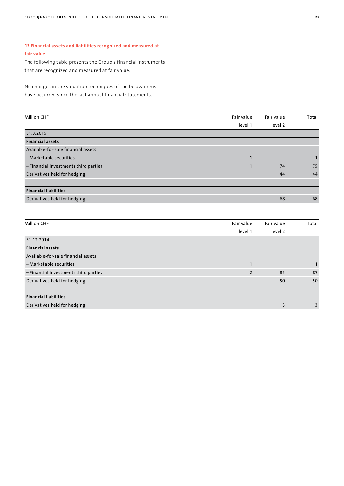# **13 Financial assets and liabilities recognized and measured at fair value**

The following table presents the Group's financial instruments that are recognized and measured at fair value.

No changes in the valuation techniques of the below items have occurred since the last annual financial statements.

| <b>Million CHF</b>                    | Fair value | Fair value | Total |
|---------------------------------------|------------|------------|-------|
|                                       | level 1    | level 2    |       |
| 31.3.2015                             |            |            |       |
| <b>Financial assets</b>               |            |            |       |
| Available-for-sale financial assets   |            |            |       |
| - Marketable securities               |            |            |       |
| - Financial investments third parties |            | 74         | 75    |
| Derivatives held for hedging          |            | 44         | 44    |
|                                       |            |            |       |
| <b>Financial liabilities</b>          |            |            |       |
| Derivatives held for hedging          |            | 68         | 68    |
|                                       |            |            |       |

| <b>Million CHF</b>                    | Fair value     | Fair value | Total |
|---------------------------------------|----------------|------------|-------|
|                                       | level 1        | level 2    |       |
| 31.12.2014                            |                |            |       |
| <b>Financial assets</b>               |                |            |       |
| Available-for-sale financial assets   |                |            |       |
| - Marketable securities               |                |            |       |
| - Financial investments third parties | $\overline{2}$ | 85         | 87    |
| Derivatives held for hedging          |                | 50         | 50    |
|                                       |                |            |       |
| <b>Financial liabilities</b>          |                |            |       |
| Derivatives held for hedging          |                | 3          | 3     |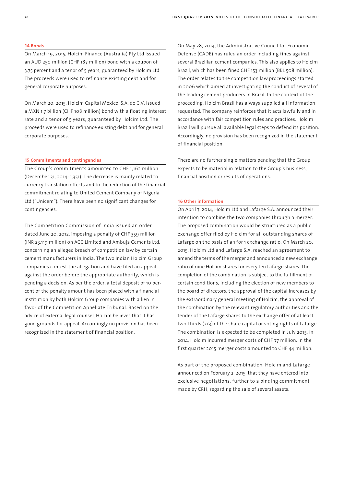#### **14 Bonds**

On March 19, 2015, Holcim Finance (Australia) Pty Ltd issued an AUD 250 million (CHF 187 million) bond with a coupon of 3.75 percent and a tenor of 5 years, guaranteed by Holcim Ltd. The proceeds were used to refinance existing debt and for general corporate purposes.

On March 20, 2015, Holcim Capital México, S.A. de C.V. issued a MXN 1.7 billion (CHF 108 million) bond with a floating interest rate and a tenor of 5 years, guaranteed by Holcim Ltd. The proceeds were used to refinance existing debt and for general corporate purposes.

### **15 Commitments and contingencies**

The Group's commitments amounted to CHF 1,162 million (December 31, 2014: 1,351). The decrease is mainly related to currency translation effects and to the reduction of the financial commitment relating to United Cement Company of Nigeria Ltd ("Unicem"). There have been no significant changes for contingencies.

The Competition Commission of India issued an order dated June 20, 2012, imposing a penalty of CHF 359 million (INR 23,119 million) on ACC Limited and Ambuja Cements Ltd. concerning an alleged breach of competition law by certain cement manufacturers in India. The two Indian Holcim Group companies contest the allegation and have filed an appeal against the order before the appropriate authority, which is pending a decision. As per the order, a total deposit of 10 percent of the penalty amount has been placed with a financial institution by both Holcim Group companies with a lien in favor of the Competition Appellate Tribunal. Based on the advice of external legal counsel, Holcim believes that it has good grounds for appeal. Accordingly no provision has been recognized in the statement of financial position.

On May 28, 2014, the Administrative Council for Economic Defense (CADE) has ruled an order including fines against several Brazilian cement companies. This also applies to Holcim Brazil, which has been fined CHF 153 million (BRL 508 million). The order relates to the competition law proceedings started in 2006 which aimed at investigating the conduct of several of the leading cement producers in Brazil. In the context of the proceeding, Holcim Brazil has always supplied all information requested. The company reinforces that it acts lawfully and in accordance with fair competition rules and practices. Holcim Brazil will pursue all available legal steps to defend its position. Accordingly, no provision has been recognized in the statement of financial position.

There are no further single matters pending that the Group expects to be material in relation to the Group's business, financial position or results of operations.

# **16 Other information**

On April 7, 2014, Holcim Ltd and Lafarge S.A. announced their intention to combine the two companies through a merger. The proposed combination would be structured as a public exchange offer filed by Holcim for all outstanding shares of Lafarge on the basis of a 1 for 1 exchange ratio. On March 20, 2015, Holcim Ltd and Lafarge S.A. reached an agreement to amend the terms of the merger and announced a new exchange ratio of nine Holcim shares for every ten Lafarge shares. The completion of the combination is subject to the fulfillment of certain conditions, including the election of new members to the board of directors, the approval of the capital increases by the extraordinary general meeting of Holcim, the approval of the combination by the relevant regulatory authorities and the tender of the Lafarge shares to the exchange offer of at least two-thirds (2/3) of the share capital or voting rights of Lafarge. The combination is expected to be completed in July 2015. In 2014, Holcim incurred merger costs of CHF 77 million. In the first quarter 2015 merger costs amounted to CHF 44 million.

As part of the proposed combination, Holcim and Lafarge announced on February 2, 2015, that they have entered into exclusive negotiations, further to a binding commitment made by CRH, regarding the sale of several assets.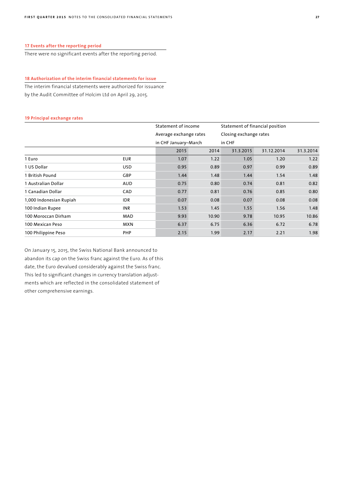There were no significant events after the reporting period.

# **18 Authorization of the interim financial statements for issue**

The interim financial statements were authorized for issuance by the Audit Committee of Holcim Ltd on April 29, 2015.

#### **19 Principal exchange rates**

|                         |            | Statement of income<br>Average exchange rates<br>in CHF January-March |       | Statement of financial position  |            |           |
|-------------------------|------------|-----------------------------------------------------------------------|-------|----------------------------------|------------|-----------|
|                         |            |                                                                       |       | Closing exchange rates<br>in CHF |            |           |
|                         |            |                                                                       |       |                                  |            |           |
|                         |            | 2015                                                                  | 2014  | 31.3.2015                        | 31.12.2014 | 31.3.2014 |
| 1 Euro                  | <b>EUR</b> | 1.07                                                                  | 1.22  | 1.05                             | 1.20       | 1.22      |
| 1 US Dollar             | <b>USD</b> | 0.95                                                                  | 0.89  | 0.97                             | 0.99       | 0.89      |
| 1 British Pound         | GBP        | 1.44                                                                  | 1.48  | 1.44                             | 1.54       | 1.48      |
| 1 Australian Dollar     | <b>AUD</b> | 0.75                                                                  | 0.80  | 0.74                             | 0.81       | 0.82      |
| 1 Canadian Dollar       | CAD        | 0.77                                                                  | 0.81  | 0.76                             | 0.85       | 0.80      |
| 1,000 Indonesian Rupiah | <b>IDR</b> | 0.07                                                                  | 0.08  | 0.07                             | 0.08       | 0.08      |
| 100 Indian Rupee        | <b>INR</b> | 1.53                                                                  | 1.45  | 1.55                             | 1.56       | 1.48      |
| 100 Moroccan Dirham     | MAD        | 9.93                                                                  | 10.90 | 9.78                             | 10.95      | 10.86     |
| 100 Mexican Peso        | <b>MXN</b> | 6.37                                                                  | 6.75  | 6.36                             | 6.72       | 6.78      |
| 100 Philippine Peso     | <b>PHP</b> | 2.15                                                                  | 1.99  | 2.17                             | 2.21       | 1.98      |

On January 15, 2015, the Swiss National Bank announced to abandon its cap on the Swiss franc against the Euro. As of this date, the Euro devalued considerably against the Swiss franc. This led to significant changes in currency translation adjustments which are reflected in the consolidated statement of other comprehensive earnings.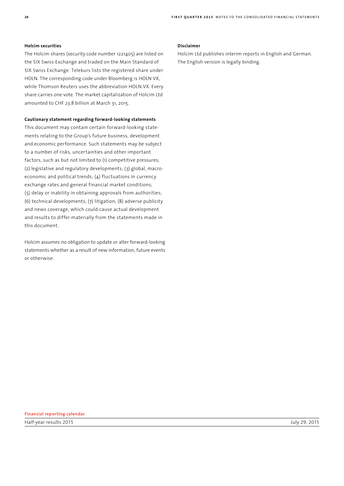# **Holcim securities**

The Holcim shares (security code number 1221405) are listed on the SIX Swiss Exchange and traded on the Main Standard of SIX Swiss Exchange. Telekurs lists the registered share under HOLN. The corresponding code under Bloomberg is HOLN VX, while Thomson Reuters uses the abbreviation HOLN.VX. Every share carries one vote. The market capitalization of Holcim Ltd amounted to CHF 23.8 billion at March 31, 2015.

# **Cautionary statement regarding forward-looking statements**

This document may contain certain forward-looking statements relating to the Group's future business, development and economic performance. Such statements may be subject to a number of risks, uncertainties and other important factors, such as but not limited to (1) competitive pressures; (2) legislative and regulatory developments; (3) global, macroeconomic and political trends; (4) fluctuations in currency exchange rates and general financial market conditions; (5) delay or inability in obtaining approvals from authorities; (6) technical developments; (7) litigation; (8) adverse publicity and news coverage, which could cause actual development and results to differ materially from the statements made in this document.

Holcim assumes no obligation to update or alter forward-looking statements whether as a result of new information, future events or otherwise.

### **Disclaimer**

Holcim Ltd publishes interim reports in English and German. The English version is legally binding.